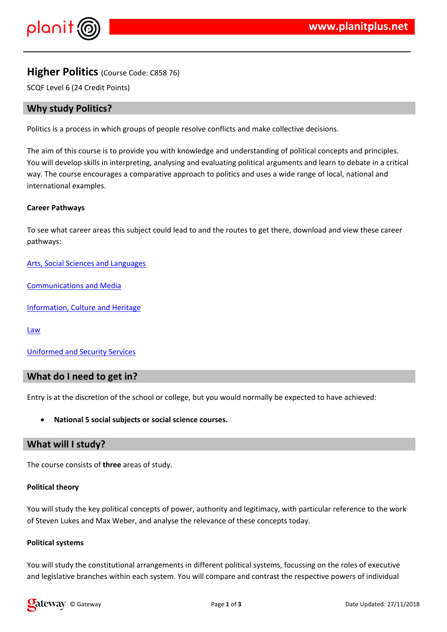$!$  " # \$ % & & '

 $\text{\$}\text{\#}$  '  $\text{\$}\text{\&}$  (  $\text{\#}$  '  $\text{\#}$  '  $\text{\#}$  '  $\text{\#}$  '  $\text{\#}$  '  $\text{\#}$  '  $\text{\#}$  '  $\text{\#}$  '  $\text{\#}$  '  $\text{\#}$  '  $\text{\#}$  '  $\text{\#}$  '  $\text{\#}$  '  $\text{\#}$  '  $\text{\#}$  '  $\text{\#}$  '  $\text{\#}$  '  $\text{\#}$  '  $\text{\#}$  '  $\text$ \$&&(&&')(&()

 $-$ ) & \* )& & # & & + }' \$ ' ' & \$ & & ( \$ ( ' (  $8'$   $8'$   $5$   $1 *$   $5$ ,

- ) (  $02)$  & (  $$5$  ' ) ) / ' $$$  ' # & )<br>)

 $3 / ($   $\sqrt{88\cdot 5}$   $\cdot$   $\cdot$   $\cdot$   $\cdot$   $\cdot$ 

 $*$  \*  $8(8)$   $48$ 

 $5'$  \* &  $\frac{1}{2}$  \$ 6 &

 $\frac{0}{\sqrt{2}}$ 

 $8 *$  ( & # & (

7' & ) & ( (& '\$ ( \$\$ / 0 ' \*\$\$\$ 1 ( ) # ( ) & #

 $\mathcal{L}^{\text{max}}$ 

 $-)$  (  $'$  &

 $3.855$  ) +  $58.8(5 (1) 8.5' 8.8' (7 8))$   $8(5)$  $\frac{1}{2}$  +  $\frac{1}{4}$  +  $\frac{1}{4}$  +  $\frac{1}{4}$  +  $\frac{1}{8}$  +  $\frac{1}{8}$  +  $\frac{1}{8}$  +  $\frac{1}{8}$  +  $\frac{1}{8}$  +  $\frac{1}{8}$  +  $\frac{1}{8}$  +  $\frac{1}{8}$  +  $\frac{1}{8}$  +  $\frac{1}{1}$  +  $\frac{1}{1}$  +  $\frac{1}{1}$  +  $\frac{1}{1}$  +  $\frac{1}{1}$  +  $\frac{1$ 

) (  $\frac{1}{2}$  8  $\frac{1}{2}$  8  $\frac{1}{2}$  8  $\frac{1}{2}$  8  $\frac{1}{2}$  8  $\frac{1}{2}$  8  $\frac{1}{2}$  8  $\frac{1}{2}$  8  $\frac{1}{2}$  8  $\frac{1}{2}$  9  $\frac{1}{2}$  9  $\frac{1}{2}$ & \$ \$  $\overline{1}$  (  $\frac{1}{2}$  \$ & \$ & # 0  $'$  ( )( ) & ) &, ' & \$ \$\* ( ' ) ( & #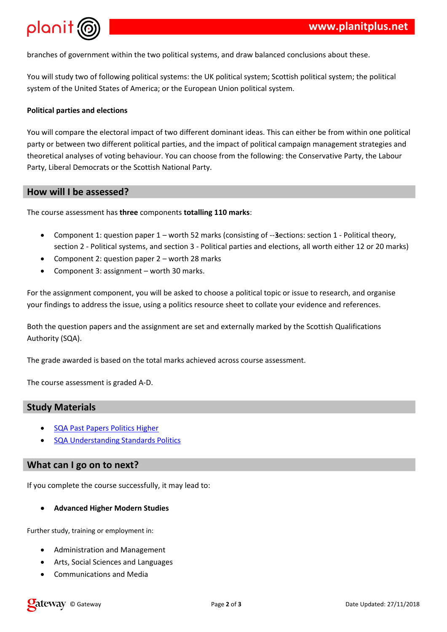$0'$  () # '\*&' )  $8j'$  \$ & & (  $\frac{m}{3}$  / ' 0 \$ '(( '(\$ & ' 0 ),

\$\$&'\*)\$&9&\$&\$&{\$\*:\${&&&()\$\$\*&&)( 8\$\$ \* )  $8$  3 \* & ( : ) 7  $8$  5 & & 1, \$

- 8. \$ \$ ( \* ) \$ ( \$ 8 \* ( ' \* 8 ' ' 8 \ , -) & ( ' 8 \ \* ) & 0 ) & '  $$8$  $\overline{\mathbf{0}}$ & (\$ '\$  $\left( \frac{1}{2} \right)$  $1''80$  \$ \* ( ( & ) ; & ' \$
- $\begin{pmatrix} * & * & * & * \end{pmatrix}$  (  $\begin{pmatrix} * & * & * & * \end{pmatrix}$  $\mathbb{R}^n$  . If  $\mathbb{R}^n$  is  $\mathbb{R}^n$  $-$  ) (
	- $\star$   $\rightarrow$   $\rightarrow$   $\rightarrow$  $(8 \tImes 8(5^{\ast} / \tImes 2) - 58.8(5 \tImes 3) - 8)$  \* +  $\lt \quad 8' = )$  \* +  $\sim 10^{-10}$  km s  $^{-1}$ \*  $\cdot$  ? &  $\stackrel{?}{=}$   $\cdot$   $\stackrel{?}{?}$  \* + ,
- $(3)$  8  $'$   $'$   $($   $'$   $'$   $'$   $8$  5 5 0  $($   $)$  5 8 8 ( 5 (8  $(3)$   $(3)$   $(4)$   $(5)$   $(6)$   $(7)$   $(8)$   $(8)$   $(8)$   $(8)$   $(8)$   $(8)$   $(8)$   $(8)$   $(1)$   $(1)$   $(1)$   $(1)$   $(1)$   $(1)$   $(1)$   $(1)$   $(1)$   $(1)$   $(1)$   $(1)$   $(1)$   $(1)$   $(1)$   $(1)$   $(1)$   $(1)$   $(1)$   $(1)$   $(1)$   $(1)$   $(1)$  $\mathbf{I}$ & ' & '
- $9 \times 8'$  ) '  $8'$  ' ' 1 '  $55$  \* + 0 )  $5(8.881)$   $8'$  $@$  $3$  ) &  $3$ ,
- $\begin{array}{ccccc}\n\star & & & \\
\star & & & \\
\end{array}$  $8$  0)  $*$  \$ + () & # (  $-$  )
- $*$  8.3>.  $-$  ) (

 $#$  $\sim$  \$

> $\frac{$86}{60}$   $\frac{8}{60}$   $\frac{8}{60}$   $\frac{8}{60}$   $\frac{1}{60}$   $\frac{1}{60}$  $\mathbf{3}$  $3'$   $8'$   $8'$   $88$

## $\frac{1}{2}$

 $( *$  \$ ( ) ((  $8*$  \$ \$ \$  $5<sup>5</sup>$ 

8. \$#

 $3 * 8' 8$   $8 4 " * "$ 

\*\*  $8(8' - 48$